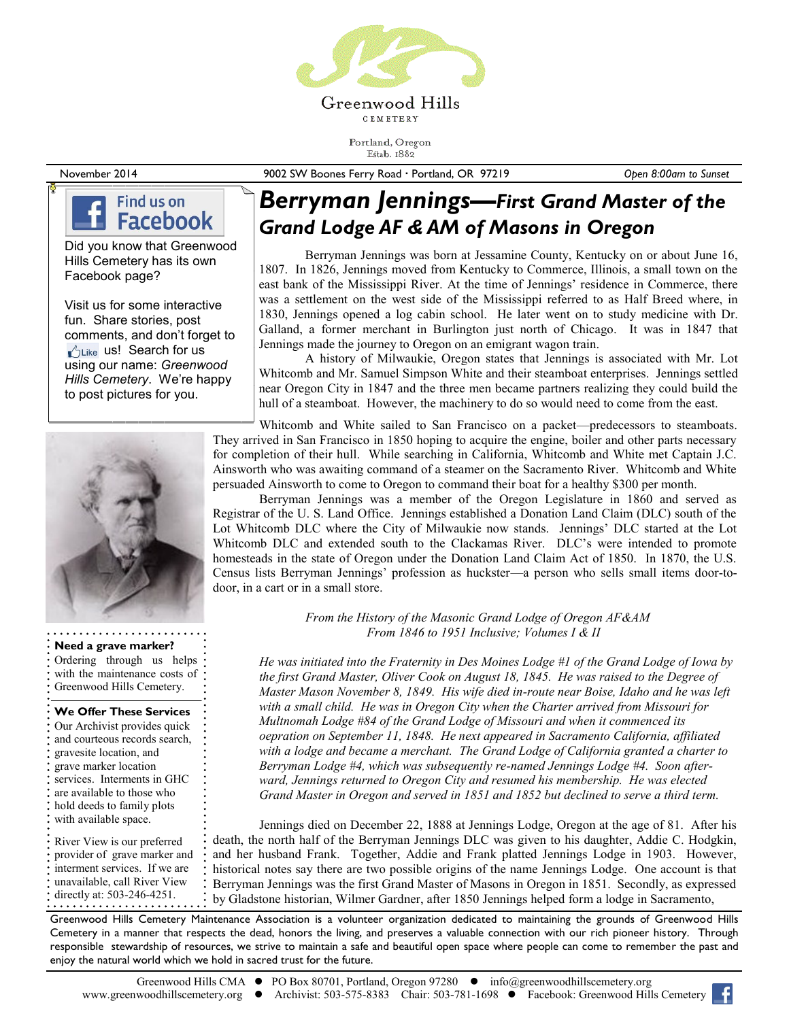

Portland, Oregon Estab. 1882

November 2014 9002 SW Boones Ferry Road Portland, OR 97219 *Open 8:00am to Sunset*

## Find us on **Facebook**

Did you know that Greenwood Hills Cemetery has its own Facebook page?

Visit us for some interactive fun. Share stories, post comments, and don't forget to  $\sqrt{\frac{1}{1}}$ Like us! Search for us using our name: *Greenwood Hills Cemetery*. We're happy to post pictures for you.



#### **Need a grave marker?**

Ordering through us helps with the maintenance costs of Greenwood Hills Cemetery.

### **We Offer These Services**

Our Archivist provides quick and courteous records search, gravesite location, and grave marker location services. Interments in GHC are available to those who hold deeds to family plots with available space. River View is our preferred provider of grave marker and interment services. If we are unavailable, call River View directly at: 503-246-4251.

# *Berryman Jennings—First Grand Master of the Grand Lodge AF & AM of Masons in Oregon*

Berryman Jennings was born at Jessamine County, Kentucky on or about June 16, 1807. In 1826, Jennings moved from Kentucky to Commerce, Illinois, a small town on the east bank of the Mississippi River. At the time of Jennings' residence in Commerce, there was a settlement on the west side of the Mississippi referred to as Half Breed where, in 1830, Jennings opened a log cabin school. He later went on to study medicine with Dr. Galland, a former merchant in Burlington just north of Chicago. It was in 1847 that Jennings made the journey to Oregon on an emigrant wagon train.

A history of Milwaukie, Oregon states that Jennings is associated with Mr. Lot Whitcomb and Mr. Samuel Simpson White and their steamboat enterprises. Jennings settled near Oregon City in 1847 and the three men became partners realizing they could build the hull of a steamboat. However, the machinery to do so would need to come from the east.

Whitcomb and White sailed to San Francisco on a packet—predecessors to steamboats. They arrived in San Francisco in 1850 hoping to acquire the engine, boiler and other parts necessary for completion of their hull. While searching in California, Whitcomb and White met Captain J.C. Ainsworth who was awaiting command of a steamer on the Sacramento River. Whitcomb and White persuaded Ainsworth to come to Oregon to command their boat for a healthy \$300 per month.

Berryman Jennings was a member of the Oregon Legislature in 1860 and served as Registrar of the U. S. Land Office. Jennings established a Donation Land Claim (DLC) south of the Lot Whitcomb DLC where the City of Milwaukie now stands. Jennings' DLC started at the Lot Whitcomb DLC and extended south to the Clackamas River. DLC's were intended to promote homesteads in the state of Oregon under the Donation Land Claim Act of 1850. In 1870, the U.S. Census lists Berryman Jennings' profession as huckster—a person who sells small items door-todoor, in a cart or in a small store.

> *From the History of the Masonic Grand Lodge of Oregon AF&AM From 1846 to 1951 Inclusive; Volumes I & II*

*He was initiated into the Fraternity in Des Moines Lodge #1 of the Grand Lodge of Iowa by the first Grand Master, Oliver Cook on August 18, 1845. He was raised to the Degree of Master Mason November 8, 1849. His wife died in-route near Boise, Idaho and he was left with a small child. He was in Oregon City when the Charter arrived from Missouri for Multnomah Lodge #84 of the Grand Lodge of Missouri and when it commenced its oepration on September 11, 1848. He next appeared in Sacramento California, affiliated with a lodge and became a merchant. The Grand Lodge of California granted a charter to Berryman Lodge #4, which was subsequently re-named Jennings Lodge #4. Soon afterward, Jennings returned to Oregon City and resumed his membership. He was elected Grand Master in Oregon and served in 1851 and 1852 but declined to serve a third term.* 

Jennings died on December 22, 1888 at Jennings Lodge, Oregon at the age of 81. After his death, the north half of the Berryman Jennings DLC was given to his daughter, Addie C. Hodgkin, and her husband Frank. Together, Addie and Frank platted Jennings Lodge in 1903. However, historical notes say there are two possible origins of the name Jennings Lodge. One account is that Berryman Jennings was the first Grand Master of Masons in Oregon in 1851. Secondly, as expressed by Gladstone historian, Wilmer Gardner, after 1850 Jennings helped form a lodge in Sacramento,

Greenwood Hills Cemetery Maintenance Association is a volunteer organization dedicated to maintaining the grounds of Greenwood Hills Cemetery in a manner that respects the dead, honors the living, and preserves a valuable connection with our rich pioneer history. Through responsible stewardship of resources, we strive to maintain a safe and beautiful open space where people can come to remember the past and enjoy the natural world which we hold in sacred trust for the future.